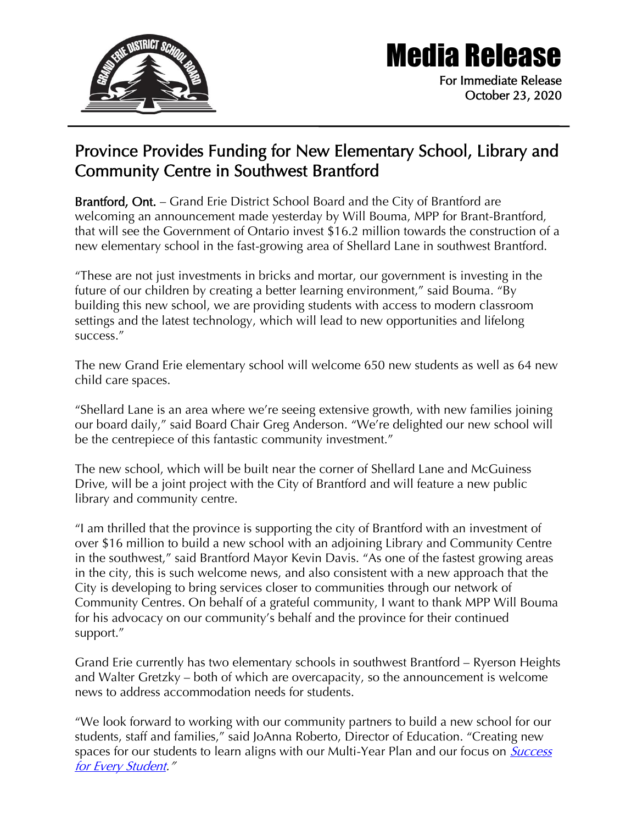

## Media Release

For Immediate Release October 23, 2020

## Province Provides Funding for New Elementary School, Library and Community Centre in Southwest Brantford

Brantford, Ont. – Grand Erie District School Board and the City of Brantford are welcoming an announcement made yesterday by Will Bouma, MPP for Brant-Brantford, that will see the Government of Ontario invest \$16.2 million towards the construction of a new elementary school in the fast-growing area of Shellard Lane in southwest Brantford.

"These are not just investments in bricks and mortar, our government is investing in the future of our children by creating a better learning environment," said Bouma. "By building this new school, we are providing students with access to modern classroom settings and the latest technology, which will lead to new opportunities and lifelong success."

The new Grand Erie elementary school will welcome 650 new students as well as 64 new child care spaces.

"Shellard Lane is an area where we're seeing extensive growth, with new families joining our board daily," said Board Chair Greg Anderson. "We're delighted our new school will be the centrepiece of this fantastic community investment."

The new school, which will be built near the corner of Shellard Lane and McGuiness Drive, will be a joint project with the City of Brantford and will feature a new public library and community centre.

"I am thrilled that the province is supporting the city of Brantford with an investment of over \$16 million to build a new school with an adjoining Library and Community Centre in the southwest," said Brantford Mayor Kevin Davis. "As one of the fastest growing areas in the city, this is such welcome news, and also consistent with a new approach that the City is developing to bring services closer to communities through our network of Community Centres. On behalf of a grateful community, I want to thank MPP Will Bouma for his advocacy on our community's behalf and the province for their continued support."

Grand Erie currently has two elementary schools in southwest Brantford – Ryerson Heights and Walter Gretzky – both of which are overcapacity, so the announcement is welcome news to address accommodation needs for students.

"We look forward to working with our community partners to build a new school for our students, staff and families," said JoAnna Roberto, Director of Education. "Creating new spaces for our students to learn aligns with our Multi-Year Plan and our focus on **Success** [for Every Student](https://www.granderie.ca/board/about/multi-year-plan)."